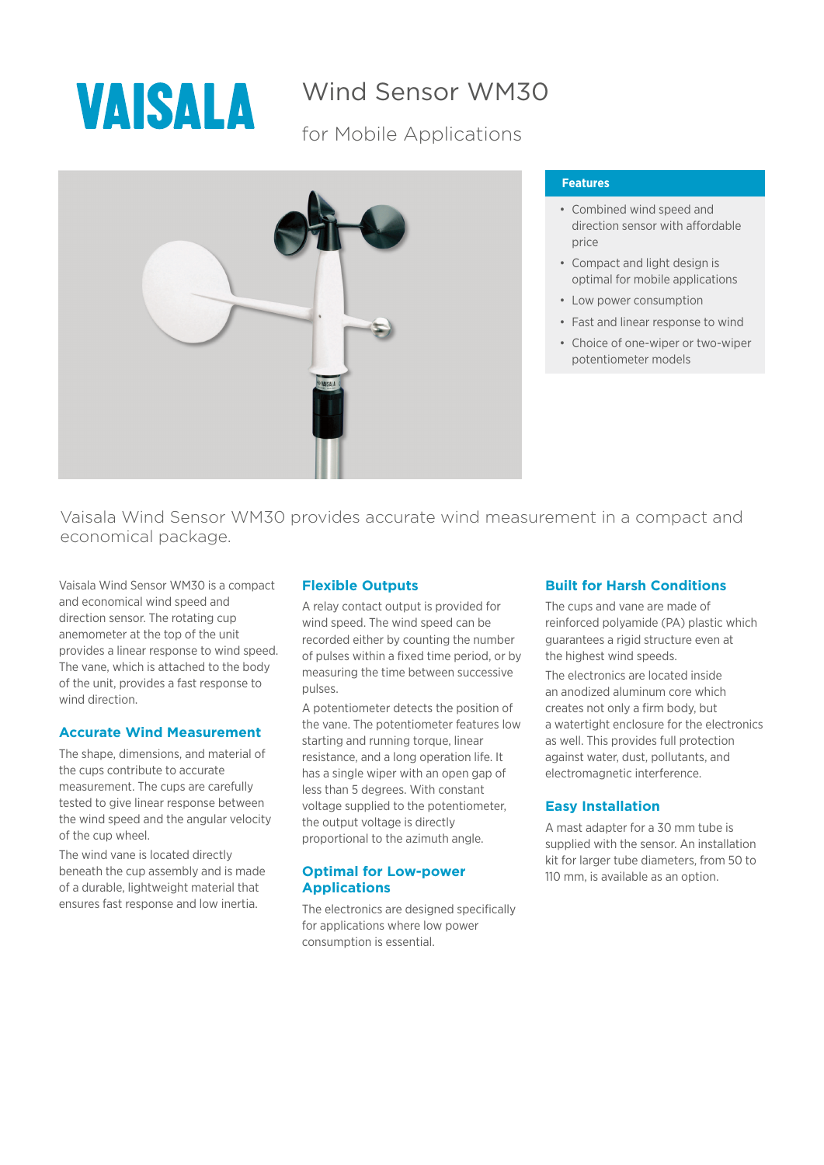

# Wind Sensor WM30

# for Mobile Applications



### **Features**

- Combined wind speed and direction sensor with affordable price
- Compact and light design is optimal for mobile applications
- Low power consumption
- Fast and linear response to wind
- Choice of one-wiper or two-wiper potentiometer models

Vaisala Wind Sensor WM30 provides accurate wind measurement in a compact and economical package.

Vaisala Wind Sensor WM30 is a compact and economical wind speed and direction sensor. The rotating cup anemometer at the top of the unit provides a linear response to wind speed. The vane, which is attached to the body of the unit, provides a fast response to wind direction.

## **Accurate Wind Measurement**

The shape, dimensions, and material of the cups contribute to accurate measurement. The cups are carefully tested to give linear response between the wind speed and the angular velocity of the cup wheel.

The wind vane is located directly beneath the cup assembly and is made of a durable, lightweight material that ensures fast response and low inertia.

### **Flexible Outputs**

A relay contact output is provided for wind speed. The wind speed can be recorded either by counting the number of pulses within a fixed time period, or by measuring the time between successive pulses.

A potentiometer detects the position of the vane. The potentiometer features low starting and running torque, linear resistance, and a long operation life. It has a single wiper with an open gap of less than 5 degrees. With constant voltage supplied to the potentiometer, the output voltage is directly proportional to the azimuth angle.

### **Optimal for Low-power Applications**

The electronics are designed specifically for applications where low power consumption is essential.

# **Built for Harsh Conditions**

The cups and vane are made of reinforced polyamide (PA) plastic which guarantees a rigid structure even at the highest wind speeds.

The electronics are located inside an anodized aluminum core which creates not only a firm body, but a watertight enclosure for the electronics as well. This provides full protection against water, dust, pollutants, and electromagnetic interference.

## **Easy Installation**

A mast adapter for a 30 mm tube is supplied with the sensor. An installation kit for larger tube diameters, from 50 to 110 mm, is available as an option.